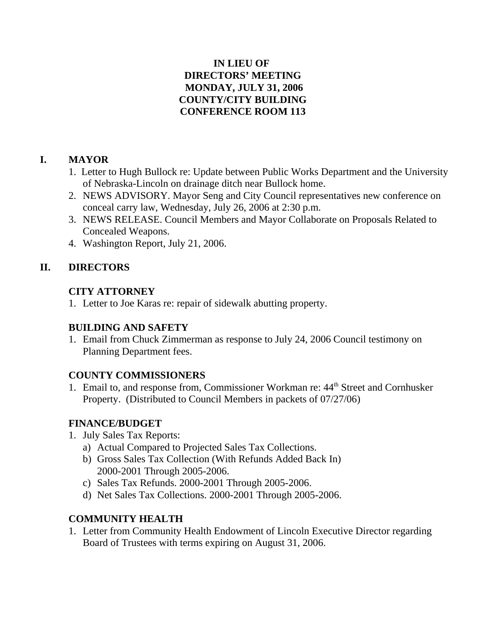### **IN LIEU OF DIRECTORS' MEETING MONDAY, JULY 31, 2006 COUNTY/CITY BUILDING CONFERENCE ROOM 113**

### **I. MAYOR**

- 1. Letter to Hugh Bullock re: Update between Public Works Department and the University of Nebraska-Lincoln on drainage ditch near Bullock home.
- 2. NEWS ADVISORY. Mayor Seng and City Council representatives new conference on conceal carry law, Wednesday, July 26, 2006 at 2:30 p.m.
- 3. NEWS RELEASE. Council Members and Mayor Collaborate on Proposals Related to Concealed Weapons.
- 4. Washington Report, July 21, 2006.

# **II. DIRECTORS**

### **CITY ATTORNEY**

1. Letter to Joe Karas re: repair of sidewalk abutting property.

# **BUILDING AND SAFETY**

1. Email from Chuck Zimmerman as response to July 24, 2006 Council testimony on Planning Department fees.

# **COUNTY COMMISSIONERS**

1. Email to, and response from, Commissioner Workman re: 44<sup>th</sup> Street and Cornhusker Property. (Distributed to Council Members in packets of 07/27/06)

# **FINANCE/BUDGET**

- 1. July Sales Tax Reports:
	- a) Actual Compared to Projected Sales Tax Collections.
	- b) Gross Sales Tax Collection (With Refunds Added Back In) 2000-2001 Through 2005-2006.
	- c) Sales Tax Refunds. 2000-2001 Through 2005-2006.
	- d) Net Sales Tax Collections. 2000-2001 Through 2005-2006.

# **COMMUNITY HEALTH**

1. Letter from Community Health Endowment of Lincoln Executive Director regarding Board of Trustees with terms expiring on August 31, 2006.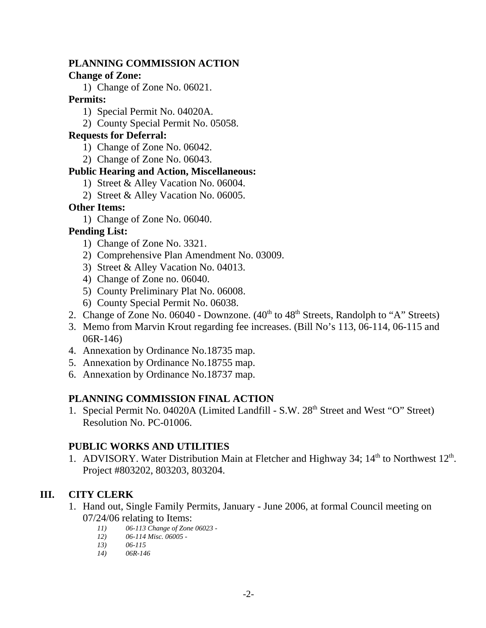#### **PLANNING COMMISSION ACTION**

#### **Change of Zone:**

1) Change of Zone No. 06021.

#### **Permits:**

- 1) Special Permit No. 04020A.
- 2) County Special Permit No. 05058.

#### **Requests for Deferral:**

- 1) Change of Zone No. 06042.
- 2) Change of Zone No. 06043.

#### **Public Hearing and Action, Miscellaneous:**

- 1) Street & Alley Vacation No. 06004.
- 2) Street & Alley Vacation No. 06005.

### **Other Items:**

1) Change of Zone No. 06040.

# **Pending List:**

- 1) Change of Zone No. 3321.
- 2) Comprehensive Plan Amendment No. 03009.
- 3) Street & Alley Vacation No. 04013.
- 4) Change of Zone no. 06040.
- 5) County Preliminary Plat No. 06008.
- 6) County Special Permit No. 06038.
- 2. Change of Zone No. 06040 Downzone.  $(40<sup>th</sup>$  to  $48<sup>th</sup>$  Streets, Randolph to "A" Streets)
- 3. Memo from Marvin Krout regarding fee increases. (Bill No's 113, 06-114, 06-115 and 06R-146)
- 4. Annexation by Ordinance No.18735 map.
- 5. Annexation by Ordinance No.18755 map.
- 6. Annexation by Ordinance No.18737 map.

### **PLANNING COMMISSION FINAL ACTION**

1. Special Permit No. 04020A (Limited Landfill - S.W. 28<sup>th</sup> Street and West "O" Street) Resolution No. PC-01006.

### **PUBLIC WORKS AND UTILITIES**

1. ADVISORY. Water Distribution Main at Fletcher and Highway 34;  $14<sup>th</sup>$  to Northwest  $12<sup>th</sup>$ . Project #803202, 803203, 803204.

# **III. CITY CLERK**

- 1. Hand out, Single Family Permits, January June 2006, at formal Council meeting on 07/24/06 relating to Items:
	- *11) 06-113 Change of Zone 06023 -*
	- *12) 06-114 Misc. 06005 -*
	- *13) 06-115*
	- *14) 06R-146*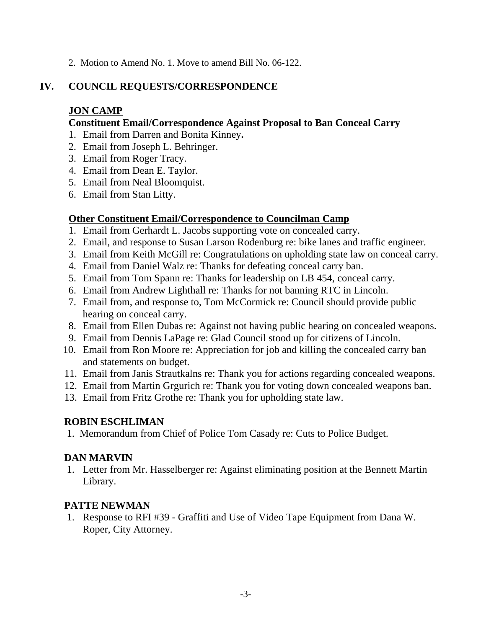2. Motion to Amend No. 1. Move to amend Bill No. 06-122.

### **IV. COUNCIL REQUESTS/CORRESPONDENCE**

### **JON CAMP**

#### **Constituent Email/Correspondence Against Proposal to Ban Conceal Carry**

- 1. Email from Darren and Bonita Kinney**.**
- 2. Email from Joseph L. Behringer.
- 3. Email from Roger Tracy.
- 4. Email from Dean E. Taylor.
- 5. Email from Neal Bloomquist.
- 6. Email from Stan Litty.

### **Other Constituent Email/Correspondence to Councilman Camp**

- 1. Email from Gerhardt L. Jacobs supporting vote on concealed carry.
- 2. Email, and response to Susan Larson Rodenburg re: bike lanes and traffic engineer.
- 3. Email from Keith McGill re: Congratulations on upholding state law on conceal carry.
- 4. Email from Daniel Walz re: Thanks for defeating conceal carry ban.
- 5. Email from Tom Spann re: Thanks for leadership on LB 454, conceal carry.
- 6. Email from Andrew Lighthall re: Thanks for not banning RTC in Lincoln.
- 7. Email from, and response to, Tom McCormick re: Council should provide public hearing on conceal carry.
- 8. Email from Ellen Dubas re: Against not having public hearing on concealed weapons.
- 9. Email from Dennis LaPage re: Glad Council stood up for citizens of Lincoln.
- 10. Email from Ron Moore re: Appreciation for job and killing the concealed carry ban and statements on budget.
- 11. Email from Janis Strautkalns re: Thank you for actions regarding concealed weapons.
- 12. Email from Martin Grgurich re: Thank you for voting down concealed weapons ban.
- 13. Email from Fritz Grothe re: Thank you for upholding state law.

### **ROBIN ESCHLIMAN**

1. Memorandum from Chief of Police Tom Casady re: Cuts to Police Budget.

# **DAN MARVIN**

 1. Letter from Mr. Hasselberger re: Against eliminating position at the Bennett Martin Library.

### **PATTE NEWMAN**

 1. Response to RFI #39 - Graffiti and Use of Video Tape Equipment from Dana W. Roper, City Attorney.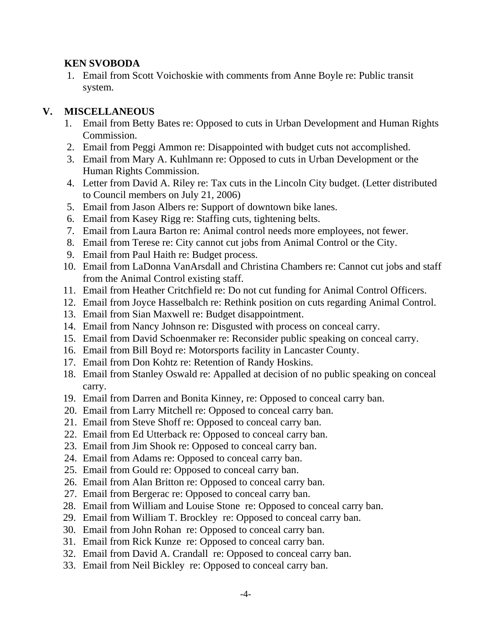### **KEN SVOBODA**

 1. Email from Scott Voichoskie with comments from Anne Boyle re: Public transit system.

### **V. MISCELLANEOUS**

- 1. Email from Betty Bates re: Opposed to cuts in Urban Development and Human Rights Commission.
- 2. Email from Peggi Ammon re: Disappointed with budget cuts not accomplished.
- 3. Email from Mary A. Kuhlmann re: Opposed to cuts in Urban Development or the Human Rights Commission.
- 4. Letter from David A. Riley re: Tax cuts in the Lincoln City budget. (Letter distributed to Council members on July 21, 2006)
- 5. Email from Jason Albers re: Support of downtown bike lanes.
- 6. Email from Kasey Rigg re: Staffing cuts, tightening belts.
- 7. Email from Laura Barton re: Animal control needs more employees, not fewer.
- 8. Email from Terese re: City cannot cut jobs from Animal Control or the City.
- 9. Email from Paul Haith re: Budget process.
- 10. Email from LaDonna VanArsdall and Christina Chambers re: Cannot cut jobs and staff from the Animal Control existing staff.
- 11. Email from Heather Critchfield re: Do not cut funding for Animal Control Officers.
- 12. Email from Joyce Hasselbalch re: Rethink position on cuts regarding Animal Control.
- 13. Email from Sian Maxwell re: Budget disappointment.
- 14. Email from Nancy Johnson re: Disgusted with process on conceal carry.
- 15. Email from David Schoenmaker re: Reconsider public speaking on conceal carry.
- 16. Email from Bill Boyd re: Motorsports facility in Lancaster County.
- 17. Email from Don Kohtz re: Retention of Randy Hoskins.
- 18. Email from Stanley Oswald re: Appalled at decision of no public speaking on conceal carry.
- 19. Email from Darren and Bonita Kinney, re: Opposed to conceal carry ban.
- 20. Email from Larry Mitchell re: Opposed to conceal carry ban.
- 21. Email from Steve Shoff re: Opposed to conceal carry ban.
- 22. Email from Ed Utterback re: Opposed to conceal carry ban.
- 23. Email from Jim Shook re: Opposed to conceal carry ban.
- 24. Email from Adams re: Opposed to conceal carry ban.
- 25. Email from Gould re: Opposed to conceal carry ban.
- 26. Email from Alan Britton re: Opposed to conceal carry ban.
- 27. Email from Bergerac re: Opposed to conceal carry ban.
- 28. Email from William and Louise Stone re: Opposed to conceal carry ban.
- 29. Email from William T. Brockley re: Opposed to conceal carry ban.
- 30. Email from John Rohan re: Opposed to conceal carry ban.
- 31. Email from Rick Kunze re: Opposed to conceal carry ban.
- 32. Email from David A. Crandall re: Opposed to conceal carry ban.
- 33. Email from Neil Bickley re: Opposed to conceal carry ban.